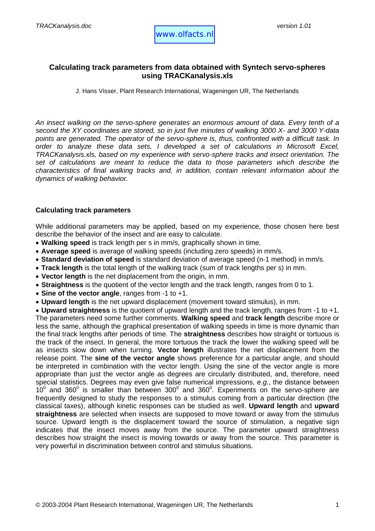# **Calculating track parameters from data obtained with Syntech servo-spheres using TRACKanalysis.xls**

J. Hans Visser, Plant Research International, Wageningen UR, The Netherlands

*An insect walking on the servo-sphere generates an enormous amount of data. Every tenth of a second the XY coordinates are stored, so in just five minutes of walking 3000 X- and 3000 Y-data points are generated. The operator of the servo-sphere is, thus, confronted with a difficult task. In order to analyze these data sets, I developed a set of calculations in Microsoft Excel, TRACKanalysis.xls, based on my experience with servo-sphere tracks and insect orientation. The set of calculations are meant to reduce the data to those parameters which describe the characteristics of final walking tracks and, in addition, contain relevant information about the dynamics of walking behavior.*

#### **Calculating track parameters**

While additional parameters may be applied, based on my experience, those chosen here best describe the behavior of the insect and are easy to calculate.

- **Walking speed** is track length per s in mm/s, graphically shown in time.
- **Average speed** is average of walking speeds (including zero speeds) in mm/s.
- **Standard deviation of speed** is standard deviation of average speed (n-1 method) in mm/s.
- **Track length** is the total length of the walking track (sum of track lengths per s) in mm.
- **Vector length** is the net displacement from the origin, in mm.
- **Straightness** is the quotient of the vector length and the track length, ranges from 0 to 1.
- **Sine of the vector angle**, ranges from -1 to +1.
- **Upward length** is the net upward displacement (movement toward stimulus), in mm.

• **Upward straightness** is the quotient of upward length and the track length, ranges from -1 to +1. The parameters need some further comments. **Walking speed** and **track length** describe more or less the same, although the graphical presentation of walking speeds in time is more dynamic than the final track lengths after periods of time. The **straightness** describes how straight or tortuous is the track of the insect. In general, the more tortuous the track the lower the walking speed will be as insects slow down when turning. **Vector length** illustrates the net displacement from the release point. The **sine of the vector angle** shows preference for a particular angle, and should be interpreted in combination with the vector length. Using the sine of the vector angle is more appropriate than just the vector angle as degrees are circularly distributed, and, therefore, need special statistics. Degrees may even give false numerical impressions, *e.g.*, the distance between 10<sup>0</sup> and 360<sup>0</sup> is smaller than between 300<sup>0</sup> and 360<sup>0</sup>. Experiments on the servo-sphere are frequently designed to study the responses to a stimulus coming from a particular direction (the classical taxes), although kinetic responses can be studied as well. **Upward length** and **upward straightness** are selected when insects are supposed to move toward or away from the stimulus source. Upward length is the displacement toward the source of stimulation, a negative sign indicates that the insect moves away from the source. The parameter upward straightness describes how straight the insect is moving towards or away from the source. This parameter is very powerful in discrimination between control and stimulus situations.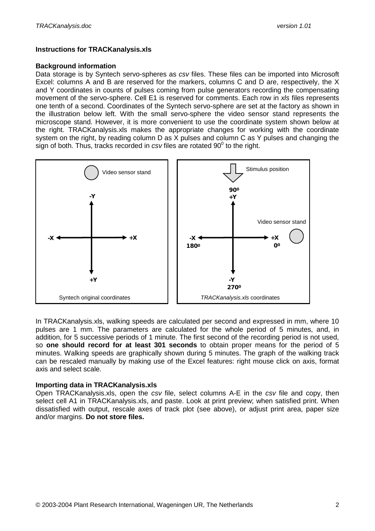## **Instructions for TRACKanalysis.xls**

### **Background information**

Data storage is by Syntech servo-spheres as *csv* files. These files can be imported into Microsoft Excel: columns A and B are reserved for the markers, columns C and D are, respectively, the X and Y coordinates in counts of pulses coming from pulse generators recording the compensating movement of the servo-sphere. Cell E1 is reserved for comments. Each row in *xls* files represents one tenth of a second. Coordinates of the Syntech servo-sphere are set at the factory as shown in the illustration below left. With the small servo-sphere the video sensor stand represents the microscope stand. However, it is more convenient to use the coordinate system shown below at the right. TRACKanalysis.xls makes the appropriate changes for working with the coordinate system on the right, by reading column D as X pulses and column C as Y pulses and changing the sign of both. Thus, tracks recorded in  $csv$  files are rotated  $90^\circ$  to the right.



In TRACKanalysis.xls, walking speeds are calculated per second and expressed in mm, where 10 pulses are 1 mm. The parameters are calculated for the whole period of 5 minutes, and, in addition, for 5 successive periods of 1 minute. The first second of the recording period is not used, so **one should record for at least 301 seconds** to obtain proper means for the period of 5 minutes. Walking speeds are graphically shown during 5 minutes. The graph of the walking track can be rescaled manually by making use of the Excel features: right mouse click on axis, format axis and select scale.

### **Importing data in TRACKanalysis.xls**

Open TRACKanalysis.xls, open the *csv* file, select columns A-E in the *csv* file and copy, then select cell A1 in TRACKanalysis.xls, and paste. Look at print preview; when satisfied print. When dissatisfied with output, rescale axes of track plot (see above), or adjust print area, paper size and/or margins. **Do not store files.**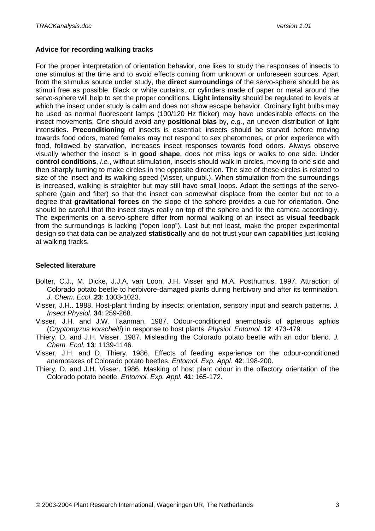## **Advice for recording walking tracks**

For the proper interpretation of orientation behavior, one likes to study the responses of insects to one stimulus at the time and to avoid effects coming from unknown or unforeseen sources. Apart from the stimulus source under study, the **direct surroundings** of the servo-sphere should be as stimuli free as possible. Black or white curtains, or cylinders made of paper or metal around the servo-sphere will help to set the proper conditions. **Light intensity** should be regulated to levels at which the insect under study is calm and does not show escape behavior. Ordinary light bulbs may be used as normal fluorescent lamps (100/120 Hz flicker) may have undesirable effects on the insect movements. One should avoid any **positional bias** by, *e.g.*, an uneven distribution of light intensities. **Preconditioning** of insects is essential: insects should be starved before moving towards food odors, mated females may not respond to sex pheromones, or prior experience with food, followed by starvation, increases insect responses towards food odors. Always observe visually whether the insect is in **good shape**, does not miss legs or walks to one side. Under **control conditions**, *i.e.*, without stimulation, insects should walk in circles, moving to one side and then sharply turning to make circles in the opposite direction. The size of these circles is related to size of the insect and its walking speed (Visser, unpubl.). When stimulation from the surroundings is increased, walking is straighter but may still have small loops. Adapt the settings of the servosphere (gain and filter) so that the insect can somewhat displace from the center but not to a degree that **gravitational forces** on the slope of the sphere provides a cue for orientation. One should be careful that the insect stays really on top of the sphere and fix the camera accordingly. The experiments on a servo-sphere differ from normal walking of an insect as **visual feedback** from the surroundings is lacking ("open loop"). Last but not least, make the proper experimental design so that data can be analyzed **statistically** and do not trust your own capabilities just looking at walking tracks.

## **Selected literature**

- Bolter, C.J., M. Dicke, J.J.A. van Loon, J.H. Visser and M.A. Posthumus. 1997. Attraction of Colorado potato beetle to herbivore-damaged plants during herbivory and after its termination. *J. Chem. Ecol*. **23**: 1003-1023.
- Visser, J.H.. 1988. Host-plant finding by insects: orientation, sensory input and search patterns. *J. Insect Physiol.* **34**: 259-268.
- Visser, J.H. and J.W. Taanman. 1987. Odour-conditioned anemotaxis of apterous aphids (*Cryptomyzus korschelti*) in response to host plants. *Physiol. Entomol.* **12**: 473-479.
- Thiery, D. and J.H. Visser. 1987. Misleading the Colorado potato beetle with an odor blend. *J. Chem. Ecol.* **13**: 1139-1146.
- Visser, J.H. and D. Thiery. 1986. Effects of feeding experience on the odour-conditioned anemotaxes of Colorado potato beetles. *Entomol. Exp. Appl.* **42**: 198-200.
- Thiery, D. and J.H. Visser. 1986. Masking of host plant odour in the olfactory orientation of the Colorado potato beetle. *Entomol. Exp. Appl.* **41**: 165-172.